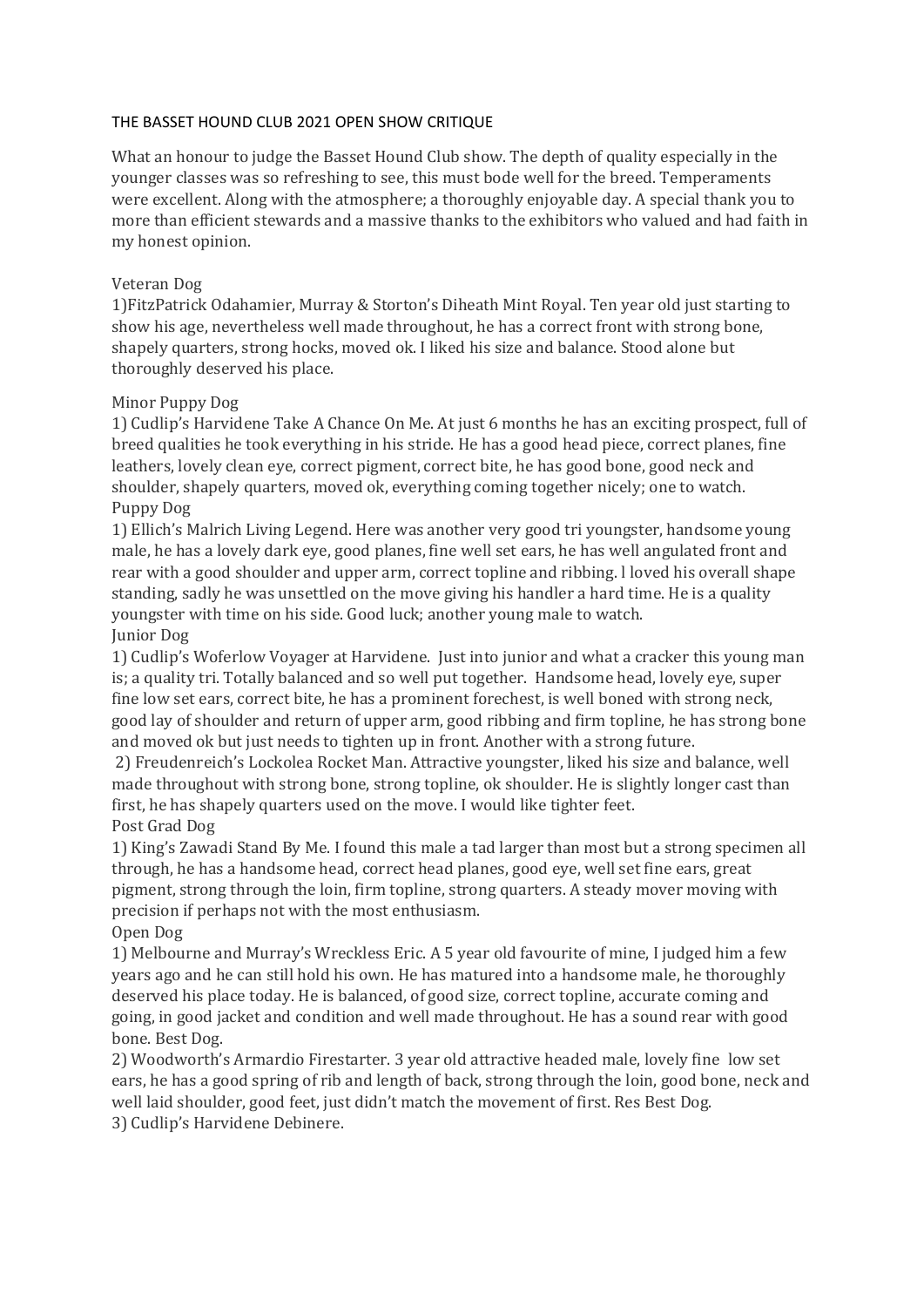#### THE BASSET HOUND CLUB 2021 OPEN SHOW CRITIQUE

What an honour to judge the Basset Hound Club show. The depth of quality especially in the younger classes was so refreshing to see, this must bode well for the breed. Temperaments were excellent. Along with the atmosphere; a thoroughly enjoyable day. A special thank you to more than efficient stewards and a massive thanks to the exhibitors who valued and had faith in my honest opinion.

#### Veteran Dog

1)FitzPatrick Odahamier, Murray & Storton's Diheath Mint Royal. Ten year old just starting to show his age, nevertheless well made throughout, he has a correct front with strong bone, shapely quarters, strong hocks, moved ok. I liked his size and balance. Stood alone but thoroughly deserved his place.

#### Minor Puppy Dog

1) Cudlip's Harvidene Take A Chance On Me. At just 6 months he has an exciting prospect, full of breed qualities he took everything in his stride. He has a good head piece, correct planes, fine leathers, lovely clean eye, correct pigment, correct bite, he has good bone, good neck and shoulder, shapely quarters, moved ok, everything coming together nicely; one to watch. Puppy Dog

1) Ellich's Malrich Living Legend. Here was another very good tri youngster, handsome young male, he has a lovely dark eye, good planes, fine well set ears, he has well angulated front and rear with a good shoulder and upper arm, correct topline and ribbing. l loved his overall shape standing, sadly he was unsettled on the move giving his handler a hard time. He is a quality youngster with time on his side. Good luck; another young male to watch. Junior Dog

1) Cudlip's Woferlow Voyager at Harvidene. Just into junior and what a cracker this young man is; a quality tri. Totally balanced and so well put together. Handsome head, lovely eye, super fine low set ears, correct bite, he has a prominent forechest, is well boned with strong neck, good lay of shoulder and return of upper arm, good ribbing and firm topline, he has strong bone and moved ok but just needs to tighten up in front. Another with a strong future.

2) Freudenreich's Lockolea Rocket Man. Attractive youngster, liked his size and balance, well made throughout with strong bone, strong topline, ok shoulder. He is slightly longer cast than first, he has shapely quarters used on the move. I would like tighter feet. Post Grad Dog

1) King's Zawadi Stand By Me. I found this male a tad larger than most but a strong specimen all through, he has a handsome head, correct head planes, good eye, well set fine ears, great pigment, strong through the loin, firm topline, strong quarters. A steady mover moving with precision if perhaps not with the most enthusiasm.

#### Open Dog

1) Melbourne and Murray's Wreckless Eric. A 5 year old favourite of mine, I judged him a few years ago and he can still hold his own. He has matured into a handsome male, he thoroughly deserved his place today. He is balanced, of good size, correct topline, accurate coming and going, in good jacket and condition and well made throughout. He has a sound rear with good bone. Best Dog.

2) Woodworth's Armardio Firestarter. 3 year old attractive headed male, lovely fine low set ears, he has a good spring of rib and length of back, strong through the loin, good bone, neck and well laid shoulder, good feet, just didn't match the movement of first. Res Best Dog. 3) Cudlip's Harvidene Debinere.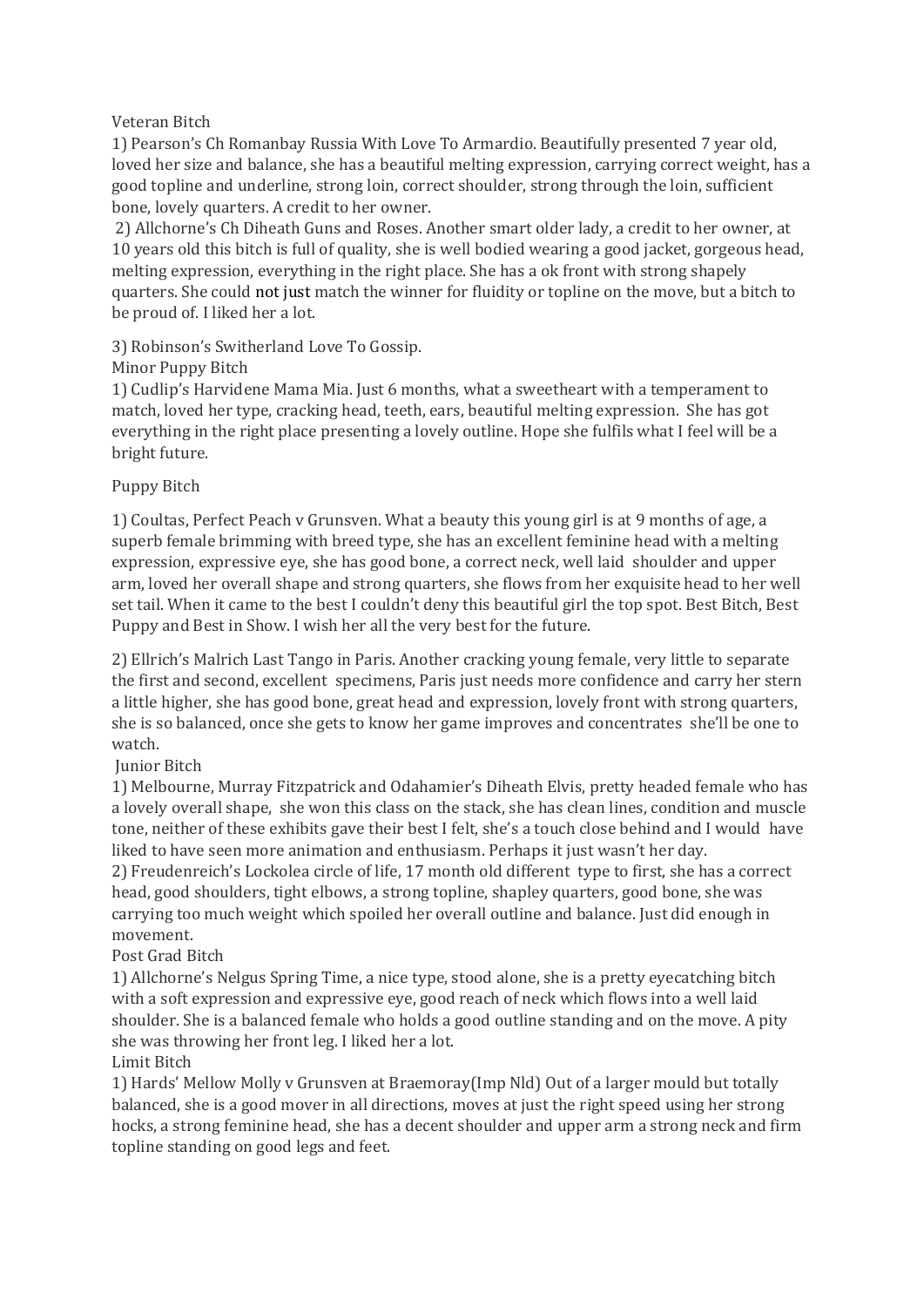## Veteran Bitch

1) Pearson's Ch Romanbay Russia With Love To Armardio. Beautifully presented 7 year old, loved her size and balance, she has a beautiful melting expression, carrying correct weight, has a good topline and underline, strong loin, correct shoulder, strong through the loin, sufficient bone, lovely quarters. A credit to her owner.

2) Allchorne's Ch Diheath Guns and Roses. Another smart older lady, a credit to her owner, at 10 years old this bitch is full of quality, she is well bodied wearing a good jacket, gorgeous head, melting expression, everything in the right place. She has a ok front with strong shapely quarters. She could not just match the winner for fluidity or topline on the move, but a bitch to be proud of. I liked her a lot.

## 3) Robinson's Switherland Love To Gossip.

## Minor Puppy Bitch

1) Cudlip's Harvidene Mama Mia. Just 6 months, what a sweetheart with a temperament to match, loved her type, cracking head, teeth, ears, beautiful melting expression. She has got everything in the right place presenting a lovely outline. Hope she fulfils what I feel will be a bright future.

## Puppy Bitch

1) Coultas, Perfect Peach v Grunsven. What a beauty this young girl is at 9 months of age, a superb female brimming with breed type, she has an excellent feminine head with a melting expression, expressive eye, she has good bone, a correct neck, well laid shoulder and upper arm, loved her overall shape and strong quarters, she flows from her exquisite head to her well set tail. When it came to the best I couldn't deny this beautiful girl the top spot. Best Bitch, Best Puppy and Best in Show. I wish her all the very best for the future.

2) Ellrich's Malrich Last Tango in Paris. Another cracking young female, very little to separate the first and second, excellent specimens, Paris just needs more confidence and carry her stern a little higher, she has good bone, great head and expression, lovely front with strong quarters, she is so balanced, once she gets to know her game improves and concentrates she'll be one to watch.

# Junior Bitch

1) Melbourne, Murray Fitzpatrick and Odahamier's Diheath Elvis, pretty headed female who has a lovely overall shape, she won this class on the stack, she has clean lines, condition and muscle tone, neither of these exhibits gave their best I felt, she's a touch close behind and I would have liked to have seen more animation and enthusiasm. Perhaps it just wasn't her day.

2) Freudenreich's Lockolea circle of life, 17 month old different type to first, she has a correct head, good shoulders, tight elbows, a strong topline, shapley quarters, good bone, she was carrying too much weight which spoiled her overall outline and balance. Just did enough in movement.

# Post Grad Bitch

1) Allchorne's Nelgus Spring Time, a nice type, stood alone, she is a pretty eyecatching bitch with a soft expression and expressive eye, good reach of neck which flows into a well laid shoulder. She is a balanced female who holds a good outline standing and on the move. A pity she was throwing her front leg. I liked her a lot.

#### Limit Bitch

1) Hards' Mellow Molly v Grunsven at Braemoray(Imp Nld) Out of a larger mould but totally balanced, she is a good mover in all directions, moves at just the right speed using her strong hocks, a strong feminine head, she has a decent shoulder and upper arm a strong neck and firm topline standing on good legs and feet.